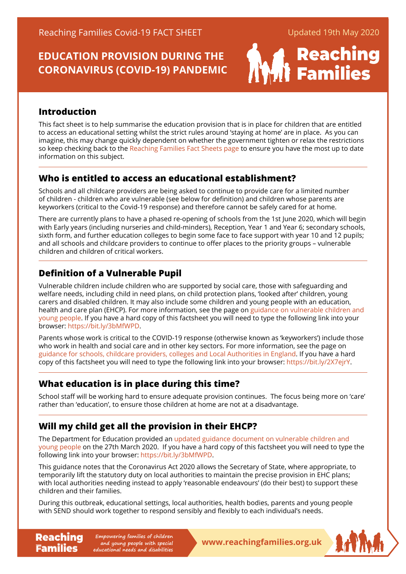# **EDUCATION PROVISION DURING THE CORONAVIRUS (COVID-19) PANDEMIC**



### **Introduction**

This fact sheet is to help summarise the education provision that is in place for children that are entitled to access an educational setting whilst the strict rules around 'staying at home' are in place. As you can imagine, this may change quickly dependent on whether the government tighten or relax the restrictions so keep checking back to the [Reaching Families Fact Sheets page](https://www.reachingfamilies.org.uk/factsheets.html) to ensure you have the most up to date information on this subject.

# **Who is entitled to access an educational establishment?**

Schools and all childcare providers are being asked to continue to provide care for a limited number of children - children who are vulnerable (see below for definition) and children whose parents are keyworkers (critical to the Covid-19 response) and therefore cannot be safely cared for at home.

There are currently plans to have a phased re-opening of schools from the 1st June 2020, which will begin with Early years (including nurseries and child-minders), Reception, Year 1 and Year 6; secondary schools, sixth form, and further education colleges to begin some face to face support with year 10 and 12 pupils; and all schools and childcare providers to continue to offer places to the priority groups – vulnerable children and children of critical workers.

# **Definition of a Vulnerable Pupil**

Vulnerable children include children who are supported by social care, those with safeguarding and welfare needs, including child in need plans, on child protection plans, 'looked after' children, young carers and disabled children. It may also include some children and young people with an education, health and care plan (EHCP). For more information, see the page on [guidance on vulnerable children and](https://www.gov.uk/government/publications/coronavirus-covid-19-guidance-on-vulnerable-children-and-young-people/coronavirus-covid-19-guidance-on-vulnerable-children-and-young-people)  [young people.](https://www.gov.uk/government/publications/coronavirus-covid-19-guidance-on-vulnerable-children-and-young-people/coronavirus-covid-19-guidance-on-vulnerable-children-and-young-people) If you have a hard copy of this factsheet you will need to type the following link into your browser: <https://bit.ly/3bMfWPD>.

Parents whose work is critical to the COVID-19 response (otherwise known as 'keyworkers') include those who work in health and social care and in other key sectors. For more information, see the page on [guidance for schools, childcare providers, colleges and Local Authorities in England.](https://www.gov.uk/government/publications/coronavirus-covid-19-maintaining-educational-provision/guidance-for-schools-colleges-and-local-authorities-on-maintaining-educational-provision) If you have a hard copy of this factsheet you will need to type the following link into your browser: [https://bit.ly/2X7ejr](https://bit.ly/2X7ejrY)Y.

# **What education is in place during this time?**

School staff will be working hard to ensure adequate provision continues. The focus being more on 'care' rather than 'education', to ensure those children at home are not at a disadvantage.

# **Will my child get all the provision in their EHCP?**

The Department for Education provided an [updated guidance document on vulnerable children and](https://www.gov.uk/government/publications/coronavirus-covid-19-guidance-on-vulnerable-children-and-young-people/coronavirus-covid-19-guidance-on-vulnerable-children-and-young-people)  [young people](https://www.gov.uk/government/publications/coronavirus-covid-19-guidance-on-vulnerable-children-and-young-people/coronavirus-covid-19-guidance-on-vulnerable-children-and-young-people) on the 27th March 2020. If you have a hard copy of this factsheet you will need to type the following link into your browser:<https://bit.ly/3bMfWPD>.

This guidance notes that the Coronavirus Act 2020 allows the Secretary of State, where appropriate, to temporarily lift the statutory duty on local authorities to maintain the precise provision in EHC plans; with local authorities needing instead to apply 'reasonable endeavours' (do their best) to support these children and their families.

During this outbreak, educational settings, local authorities, health bodies, parents and young people with SEND should work together to respond sensibly and flexibly to each individual's needs.

**Reaching** Empowering families of children<br> **Reaching Empone and young people with special**<br> **WWW.reachingfamilies.org.uk Empowering families of children and young people with special educational needs and disabilities**

Families

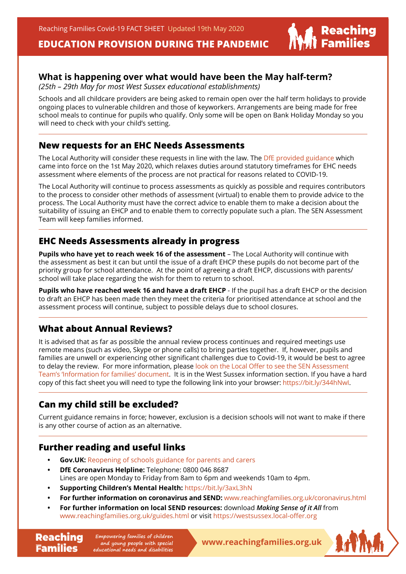**EDUCATION PROVISION DURING THE PANDEMIC**

### **What is happening over what would have been the May half-term?**

*(25th – 29th May for most West Sussex educational establishments)*

Schools and all childcare providers are being asked to remain open over the half term holidays to provide ongoing places to vulnerable children and those of keyworkers. Arrangements are being made for free school meals to continue for pupils who qualify. Only some will be open on Bank Holiday Monday so you will need to check with your child's setting.

#### **New requests for an EHC Needs Assessments**

The Local Authority will consider these requests in line with the law. The [DfE provided guidance](https://www.gov.uk/government/publications/changes-to-the-law-on-education-health-and-care-needs-assessments-and-plans-due-to-coronavirus) which came into force on the 1st May 2020, which relaxes duties around statutory timeframes for EHC needs assessment where elements of the process are not practical for reasons related to COVID-19.

The Local Authority will continue to process assessments as quickly as possible and requires contributors to the process to consider other methods of assessment (virtual) to enable them to provide advice to the process. The Local Authority must have the correct advice to enable them to make a decision about the suitability of issuing an EHCP and to enable them to correctly populate such a plan. The SEN Assessment Team will keep families informed.

### **EHC Needs Assessments already in progress**

**Pupils who have yet to reach week 16 of the assessment** – The Local Authority will continue with the assessment as best it can but until the issue of a draft EHCP these pupils do not become part of the priority group for school attendance. At the point of agreeing a draft EHCP, discussions with parents/ school will take place regarding the wish for them to return to school.

**Pupils who have reached week 16 and have a draft EHCP** - If the pupil has a draft EHCP or the decision to draft an EHCP has been made then they meet the criteria for prioritised attendance at school and the assessment process will continue, subject to possible delays due to school closures.

## **What about Annual Reviews?**

It is advised that as far as possible the annual review process continues and required meetings use remote means (such as video, Skype or phone calls) to bring parties together. If, however, pupils and families are unwell or experiencing other significant challenges due to Covid-19, it would be best to agree to delay the review. For more information, please look on the Local Offer to see the SEN Assessment [Team's 'Information for families' document.](https://westsussex.local-offer.org/information_pages/605-coronavirus-covid-19-useful-information) It is in the West Sussex information section. If you have a hard copy of this fact sheet you will need to type the following link into your browser: <https://bit.ly/344hNwI>.

## **Can my child still be excluded?**

Current guidance remains in force; however, exclusion is a decision schools will not want to make if there is any other course of action as an alternative.

### **Further reading and useful links**

Families

- **Gov.UK:** [Reopening of schools guidance for parents and carers](https://www.gov.uk/government/publications/closure-of-educational-settings-information-for-parents-and-carers/reopening-schools-and-other-educational-settings-from-1-june)
- **DfE Coronavirus Helpline: Telephone: 0800 046 8687** Lines are open Monday to Friday from 8am to 6pm and weekends 10am to 4pm.
- **• Supporting Children's Mental Health:** <https://bit.ly/3axL3hN>
- **For further information on coronavirus and SEND:** [www.reachingfamilies.org.uk/coronavirus.html](https://www.reachingfamilies.org.uk/coronavirus.html)
- **• For further information on local SEND resources:** download *Making Sense of it All* from [www.reachingfamilies.org.uk/guides.html](https://www.reachingfamilies.org.uk/guides.html) or visit [https://westsussex.local-offer.or](https://westsussex.local-offer.org)g

**Reaching** Empowering families of children<br> **Reaching Empowering people with special**<br> **WWW.reachingfamilies.org.uk Empowering families of children and young people with special educational needs and disabilities**



| Reaching<br>| Families